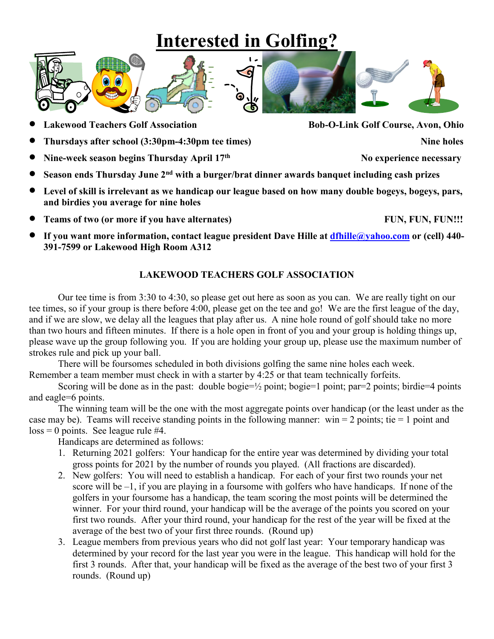## **Interested in Golfing?**

Q  $\boldsymbol{r}$ 

• **Lakewood Teachers Golf Association Bob-O-Link Golf Course, Avon, Ohio**

- **Thursdays after school (3:30pm-4:30pm tee times)** Nine holes
- **Nine-week season begins Thursday April 17<sup>th</sup> No experience necessary**
- **Season ends Thursday June 2nd with a burger/brat dinner awards banquet including cash prizes**
- **Level of skill is irrelevant as we handicap our league based on how many double bogeys, bogeys, pars, and birdies you average for nine holes**
- **Frams of two (or more if you have alternates) FUN, FUN, FUN, FUN!!!**
- **If you want more information, contact league president Dave Hille at [dfhille@yahoo.com](mailto:dfhille@yahoo.com) or (cell) 440- 391-7599 or Lakewood High Room A312**

## **LAKEWOOD TEACHERS GOLF ASSOCIATION**

Our tee time is from 3:30 to 4:30, so please get out here as soon as you can. We are really tight on our tee times, so if your group is there before 4:00, please get on the tee and go! We are the first league of the day, and if we are slow, we delay all the leagues that play after us. A nine hole round of golf should take no more than two hours and fifteen minutes. If there is a hole open in front of you and your group is holding things up, please wave up the group following you. If you are holding your group up, please use the maximum number of strokes rule and pick up your ball.

There will be foursomes scheduled in both divisions golfing the same nine holes each week. Remember a team member must check in with a starter by 4:25 or that team technically forfeits.

Scoring will be done as in the past: double bogie= $\frac{1}{2}$  point; bogie=1 point; par=2 points; birdie=4 points and eagle=6 points.

The winning team will be the one with the most aggregate points over handicap (or the least under as the case may be). Teams will receive standing points in the following manner: win  $= 2$  points; tie  $= 1$  point and loss = 0 points. See league rule #4.

Handicaps are determined as follows:

- 1. Returning 2021 golfers: Your handicap for the entire year was determined by dividing your total gross points for 2021 by the number of rounds you played. (All fractions are discarded).
- 2. New golfers: You will need to establish a handicap. For each of your first two rounds your net score will be –1, if you are playing in a foursome with golfers who have handicaps. If none of the golfers in your foursome has a handicap, the team scoring the most points will be determined the winner. For your third round, your handicap will be the average of the points you scored on your first two rounds. After your third round, your handicap for the rest of the year will be fixed at the average of the best two of your first three rounds. (Round up)
- 3. League members from previous years who did not golf last year: Your temporary handicap was determined by your record for the last year you were in the league. This handicap will hold for the first 3 rounds. After that, your handicap will be fixed as the average of the best two of your first 3 rounds. (Round up)